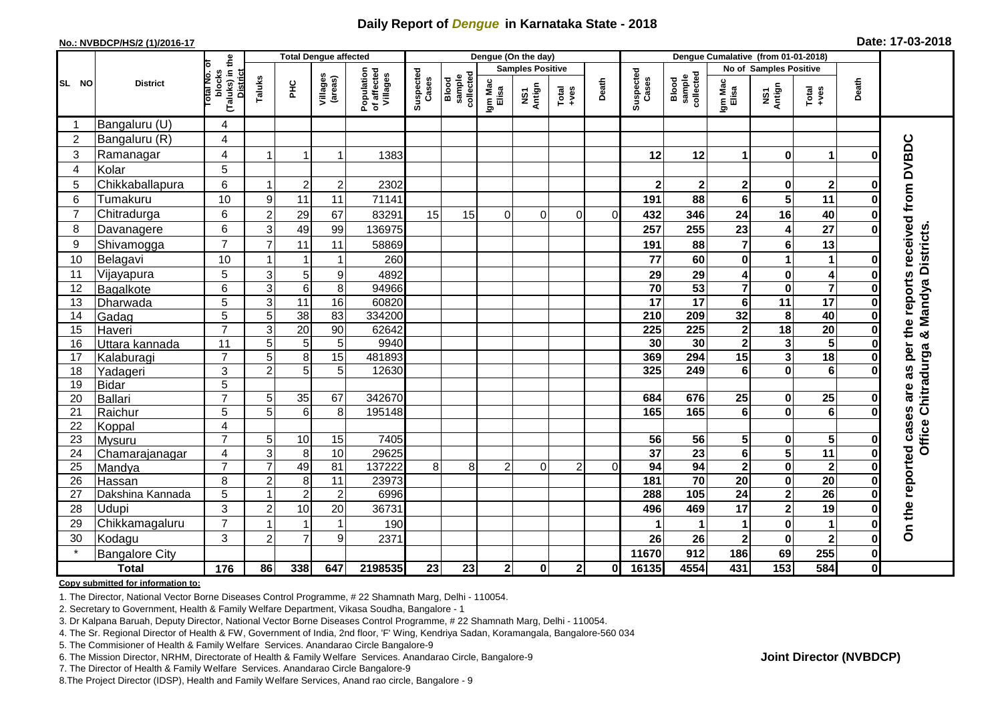## **Daily Report of** *Dengue* **in Karnataka State - 2018**

#### **No.: NVBDCP/HS/2 (1)/2016-17**

|  | Date: 17-03-2018 |  |
|--|------------------|--|
|--|------------------|--|

|                |                       |                                                       |                     |                     | <b>Total Dengue affected</b> |                                       | Dengue (On the day) |                              |                         |               |                                                                        |          |                    | Dengue Cumalative (from 01-01-2018) |                                    |                               |                                                              |               |                                 |
|----------------|-----------------------|-------------------------------------------------------|---------------------|---------------------|------------------------------|---------------------------------------|---------------------|------------------------------|-------------------------|---------------|------------------------------------------------------------------------|----------|--------------------|-------------------------------------|------------------------------------|-------------------------------|--------------------------------------------------------------|---------------|---------------------------------|
|                |                       |                                                       |                     |                     |                              |                                       |                     |                              | <b>Samples Positive</b> |               |                                                                        |          |                    |                                     |                                    | No of Samples Positive        |                                                              |               |                                 |
| SL NO          | <b>District</b>       | (Taluks) in the<br>District<br>lotal No. ol<br>blocks | Taluks              | $rac{C}{\pi}$       | Villages<br>(areas)          | Population<br>of affected<br>Villages | Suspected<br>Cases  | sample<br>collected<br>Blood | Igm Mac<br>Elisa        | NS1<br>Antign | $\begin{array}{c}\n\text{Total} \\ \text{1}-\text{total}\n\end{array}$ | Death    | Suspected<br>Cases | Blood<br>sample<br>collected        | Igm Mac<br>Elisa                   | NS1<br>Antign                 | $\begin{array}{c}\n\text{Total} \\ \text{Area}\n\end{array}$ | Death         |                                 |
|                | Bangaluru (U)         | 4                                                     |                     |                     |                              |                                       |                     |                              |                         |               |                                                                        |          |                    |                                     |                                    |                               |                                                              |               |                                 |
| $\overline{2}$ | Bangaluru (R)         | $\overline{4}$                                        |                     |                     |                              |                                       |                     |                              |                         |               |                                                                        |          |                    |                                     |                                    |                               |                                                              |               |                                 |
| 3              | Ramanagar             | 4                                                     |                     |                     | 1                            | 1383                                  |                     |                              |                         |               |                                                                        |          | 12                 | 12                                  | 1                                  | $\bf{0}$                      | $\blacktriangleleft$                                         | U             | the reports received from DVBDC |
| 4              | Kolar                 | 5                                                     |                     |                     |                              |                                       |                     |                              |                         |               |                                                                        |          |                    |                                     |                                    |                               |                                                              |               |                                 |
| 5              | Chikkaballapura       | 6                                                     | -1                  | $\overline{2}$      | $\mathbf 2$                  | 2302                                  |                     |                              |                         |               |                                                                        |          | $\overline{2}$     | $\mathbf{2}$                        | $\mathbf 2$                        | 0                             | $\overline{\mathbf{2}}$                                      | $\bf{0}$      |                                 |
| 6              | Tumakuru              | 10                                                    | 9                   | 11                  | 11                           | 71141                                 |                     |                              |                         |               |                                                                        |          | 191                | 88                                  | 6                                  | $\overline{\mathbf{5}}$       | 11                                                           | ŋ             |                                 |
| $\overline{7}$ | Chitradurga           | 6                                                     | $\overline{2}$      | 29                  | 67                           | 83291                                 | 15                  | 15                           | 0                       | $\Omega$      | 0                                                                      | $\Omega$ | 432                | 346                                 | 24                                 | 16                            | 40                                                           | Ω             |                                 |
| 8              | Davanagere            | 6                                                     | 3                   | 49                  | 99                           | 136975                                |                     |                              |                         |               |                                                                        |          | 257                | 255                                 | 23                                 | 4                             | $\overline{27}$                                              | 0             |                                 |
| 9              | Shivamogga            | $\overline{7}$                                        | $\overline{7}$      | 11                  | 11                           | 58869                                 |                     |                              |                         |               |                                                                        |          | 191                | 88                                  | 7                                  | $\bf 6$                       | 13                                                           |               | & Mandya Districts              |
| 10             | Belagavi              | 10                                                    | 1                   |                     | 1                            | 260                                   |                     |                              |                         |               |                                                                        |          | 77                 | 60                                  | 0                                  | 1                             | $\mathbf{1}$                                                 | 0             |                                 |
| 11             | Vijayapura            | 5                                                     | 3                   | 5                   | 9                            | 4892                                  |                     |                              |                         |               |                                                                        |          | 29                 | 29                                  | 4                                  | $\pmb{0}$                     | $\overline{\mathbf{4}}$                                      | 0             |                                 |
| 12             | Bagalkote             | 6                                                     | $\overline{3}$      | $\overline{6}$      | 8                            | 94966                                 |                     |                              |                         |               |                                                                        |          | $\overline{70}$    | 53                                  |                                    | $\mathbf 0$                   | $\overline{\mathbf{7}}$                                      | 0             |                                 |
| 13             | Dharwada              | 5                                                     | $\mathbf{3}$        | $\overline{11}$     | 16                           | 60820                                 |                     |                              |                         |               |                                                                        |          | 17                 | $\overline{17}$                     | 6                                  | $\overline{11}$               | $\overline{17}$                                              | 0             |                                 |
| 14             | Gadag                 | $\overline{5}$                                        | 5                   | 38                  | 83                           | 334200                                |                     |                              |                         |               |                                                                        |          | 210                | 209                                 | 32                                 | 8                             | 40                                                           | O             |                                 |
| 15             | Haveri                | $\overline{7}$                                        | 3                   | 20                  | 90                           | 62642                                 |                     |                              |                         |               |                                                                        |          | 225                | 225                                 | $\bf{2}$                           | 18                            | 20                                                           | O             |                                 |
| 16             | Uttara kannada        | 11                                                    | 5                   | 5                   | 5                            | 9940                                  |                     |                              |                         |               |                                                                        |          | 30                 | 30                                  | $\overline{\mathbf{2}}$            | $\mathbf{3}$                  | $\overline{\mathbf{5}}$                                      |               | per                             |
| 17             | Kalaburagi            | $\overline{7}$                                        | 5                   | 8                   | 15                           | 481893                                |                     |                              |                         |               |                                                                        |          | 369                | 294                                 | 15                                 | 3                             | 18                                                           | 0             |                                 |
| 18             | Yadageri              | 3                                                     | $\overline{2}$      | $\overline{5}$      | 5                            | 12630                                 |                     |                              |                         |               |                                                                        |          | 325                | 249                                 | 6                                  | $\mathbf 0$                   | 6                                                            |               | 3B                              |
| 19             | <b>Bidar</b>          | 5                                                     |                     |                     |                              |                                       |                     |                              |                         |               |                                                                        |          |                    |                                     |                                    |                               |                                                              |               | are                             |
| 20             | <b>Ballari</b>        | $\overline{7}$                                        | 5                   | 35                  | 67                           | 342670                                |                     |                              |                         |               |                                                                        |          | 684                | 676                                 | 25                                 | $\mathbf 0$                   | $\overline{25}$                                              | 0             |                                 |
| 21             | Raichur               | 5                                                     | 5                   | 6                   | 8                            | 195148                                |                     |                              |                         |               |                                                                        |          | 165                | 165                                 | 6                                  | $\mathbf 0$                   | $\overline{6}$                                               | ŋ             |                                 |
| 22             | Koppal                | 4                                                     |                     |                     |                              |                                       |                     |                              |                         |               |                                                                        |          |                    |                                     |                                    |                               |                                                              |               |                                 |
| 23             | Mysuru                | $\overline{7}$                                        | 5                   | 10                  | 15                           | 7405                                  |                     |                              |                         |               |                                                                        |          | 56                 | 56                                  | 5                                  | $\mathbf 0$                   | $5\phantom{.0}$                                              | O             | Office Chitradurga              |
| 24             | Chamarajanagar        | 4<br>$\overline{7}$                                   | 3<br>$\overline{7}$ | 8                   | 10                           | 29625                                 |                     |                              |                         |               |                                                                        |          | $\overline{37}$    | $\overline{23}$                     | $6\phantom{a}$                     | 5                             | $\overline{11}$                                              | $\bf{0}$      | On the reported cases           |
| 25             | Mandya                |                                                       |                     | 49                  | 81                           | 137222                                | 8                   | 8 <sup>1</sup>               | $\overline{2}$          | $\mathbf{0}$  | $\overline{2}$                                                         | $\Omega$ | 94                 | 94<br>70                            | $\overline{2}$                     | $\pmb{0}$                     | $\mathbf 2$<br>$\overline{20}$                               | $\bf{0}$      |                                 |
| 26             | Hassan                | 8                                                     | $\overline{2}$<br>1 | 8<br>$\overline{2}$ | 11                           | 23973<br>6996                         |                     |                              |                         |               |                                                                        |          | 181<br>288         | 105                                 | $\overline{20}$<br>$\overline{24}$ | $\mathbf 0$<br>$\overline{2}$ | $\overline{26}$                                              | 0<br>$\bf{0}$ |                                 |
| 27             | Dakshina Kannada      | 5<br>3                                                |                     |                     | $\overline{2}$               |                                       |                     |                              |                         |               |                                                                        |          |                    |                                     |                                    |                               |                                                              |               |                                 |
| 28             | Udupi                 | $\overline{7}$                                        | $\overline{2}$      | 10                  | 20                           | 36731                                 |                     |                              |                         |               |                                                                        |          | 496                | 469                                 | 17                                 | $\overline{\mathbf{c}}$       | 19                                                           | ŋ             |                                 |
| 29             | Chikkamagaluru        |                                                       |                     |                     | $\mathbf{1}$                 | 190                                   |                     |                              |                         |               |                                                                        |          |                    |                                     | 1                                  | $\mathbf 0$                   | 1                                                            | O             |                                 |
| 30             | Kodagu                | 3                                                     | $\overline{c}$      | $\overline{7}$      | 9                            | 2371                                  |                     |                              |                         |               |                                                                        |          | 26                 | 26                                  | $\overline{\mathbf{2}}$            | $\pmb{0}$                     | $\overline{\mathbf{2}}$                                      | 0             |                                 |
|                | <b>Bangalore City</b> |                                                       |                     |                     |                              |                                       |                     |                              |                         |               |                                                                        |          | 11670              | 912                                 | 186                                | 69                            | 255                                                          | $\mathbf{0}$  |                                 |
|                | <b>Total</b>          | $\frac{1}{176}$                                       | 86                  | 338                 | 647                          | 2198535                               | 23                  | $\overline{23}$              | 2 <sub>1</sub>          | $\mathbf 0$   | $\mathbf{2}$                                                           | 01       | 16135              | 4554                                | 431                                | $\frac{1}{153}$               | 584                                                          | $\mathbf{0}$  |                                 |

#### **Copy submitted for information to:**

1. The Director, National Vector Borne Diseases Control Programme, # 22 Shamnath Marg, Delhi - 110054.

2. Secretary to Government, Health & Family Welfare Department, Vikasa Soudha, Bangalore - 1

3. Dr Kalpana Baruah, Deputy Director, National Vector Borne Diseases Control Programme, # 22 Shamnath Marg, Delhi - 110054.

4. The Sr. Regional Director of Health & FW, Government of India, 2nd floor, 'F' Wing, Kendriya Sadan, Koramangala, Bangalore-560 034

5. The Commisioner of Health & Family Welfare Services. Anandarao Circle Bangalore-9

6. The Mission Director, NRHM, Directorate of Health & Family Welfare Services. Anandarao Circle, Bangalore-9

7. The Director of Health & Family Welfare Services. Anandarao Circle Bangalore-9

8.The Project Director (IDSP), Health and Family Welfare Services, Anand rao circle, Bangalore - 9